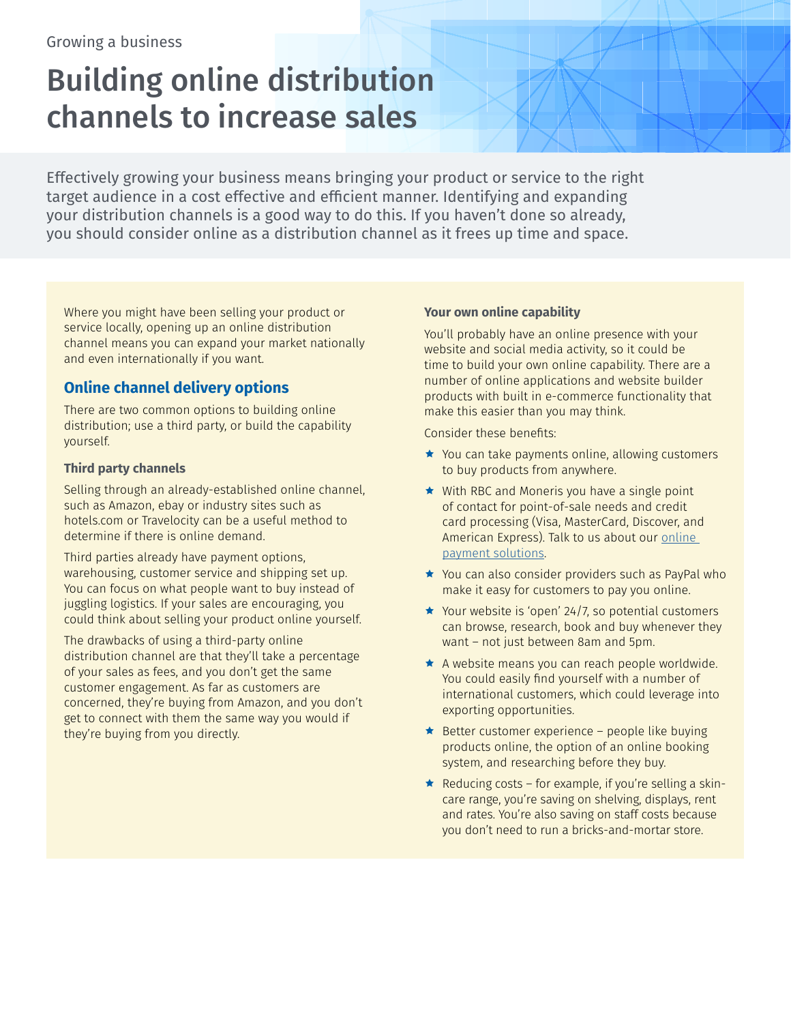# Building online distribution channels to increase sales

Effectively growing your business means bringing your product or service to the right target audience in a cost effective and efficient manner. Identifying and expanding your distribution channels is a good way to do this. If you haven't done so already, you should consider online as a distribution channel as it frees up time and space.

Where you might have been selling your product or service locally, opening up an online distribution channel means you can expand your market nationally and even internationally if you want.

## **Online channel delivery options**

There are two common options to building online distribution; use a third party, or build the capability yourself.

### **Third party channels**

Selling through an already-established online channel, such as Amazon, ebay or industry sites such as hotels.com or Travelocity can be a useful method to determine if there is online demand.

Third parties already have payment options, warehousing, customer service and shipping set up. You can focus on what people want to buy instead of juggling logistics. If your sales are encouraging, you could think about selling your product online yourself.

The drawbacks of using a third-party online distribution channel are that they'll take a percentage of your sales as fees, and you don't get the same customer engagement. As far as customers are concerned, they're buying from Amazon, and you don't get to connect with them the same way you would if they're buying from you directly.

#### **Your own online capability**

You'll probably have an online presence with your website and social media activity, so it could be time to build your own online capability. There are a number of online applications and website builder products with built in e-commerce functionality that make this easier than you may think.

Consider these benefits:

- $\star$  You can take payments online, allowing customers to buy products from anywhere.
- $\star$  With RBC and Moneris you have a single point of contact for point-of-sale needs and credit card processing (Visa, MasterCard, Discover, and American Express). Talk to us about our online [payment solutions](https://www.rbcroyalbank.com/business/paying-and-receiving/online-banking-for-business.html).
- ★ You can also consider providers such as PayPal who make it easy for customers to pay you online.
- $\star$  Your website is 'open' 24/7, so potential customers can browse, research, book and buy whenever they want – not just between 8am and 5pm.
- $\star$  A website means you can reach people worldwide. You could easily find yourself with a number of international customers, which could leverage into exporting opportunities.
- $\bigstar$  Better customer experience people like buying products online, the option of an online booking system, and researching before they buy.
- Reducing costs for example, if you're selling a skincare range, you're saving on shelving, displays, rent and rates. You're also saving on staff costs because you don't need to run a bricks-and-mortar store.